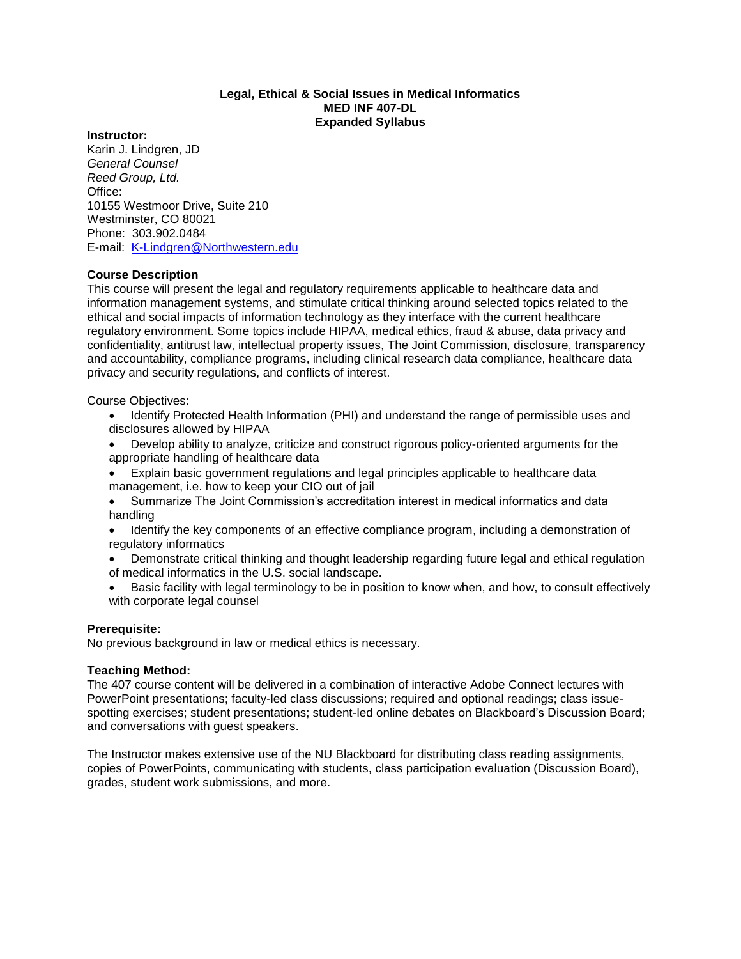# **Legal, Ethical & Social Issues in Medical Informatics MED INF 407-DL Expanded Syllabus**

#### **Instructor:**

Karin J. Lindgren, JD *General Counsel Reed Group, Ltd.* Office: 10155 Westmoor Drive, Suite 210 Westminster, CO 80021 Phone: 303.902.0484 E-mail: [K-Lindgren@Northwestern.edu](mailto:K-Lindgren@Northwestern.edu)

## **Course Description**

This course will present the legal and regulatory requirements applicable to healthcare data and information management systems, and stimulate critical thinking around selected topics related to the ethical and social impacts of information technology as they interface with the current healthcare regulatory environment. Some topics include HIPAA, medical ethics, fraud & abuse, data privacy and confidentiality, antitrust law, intellectual property issues, The Joint Commission, disclosure, transparency and accountability, compliance programs, including clinical research data compliance, healthcare data privacy and security regulations, and conflicts of interest.

Course Objectives:

- Identify Protected Health Information (PHI) and understand the range of permissible uses and disclosures allowed by HIPAA
- Develop ability to analyze, criticize and construct rigorous policy-oriented arguments for the appropriate handling of healthcare data
- Explain basic government regulations and legal principles applicable to healthcare data management, i.e. how to keep your CIO out of jail
- Summarize The Joint Commission's accreditation interest in medical informatics and data handling
- Identify the key components of an effective compliance program, including a demonstration of regulatory informatics
- Demonstrate critical thinking and thought leadership regarding future legal and ethical regulation of medical informatics in the U.S. social landscape.
- Basic facility with legal terminology to be in position to know when, and how, to consult effectively with corporate legal counsel

## **Prerequisite:**

No previous background in law or medical ethics is necessary.

## **Teaching Method:**

The 407 course content will be delivered in a combination of interactive Adobe Connect lectures with PowerPoint presentations; faculty-led class discussions; required and optional readings; class issuespotting exercises; student presentations; student-led online debates on Blackboard's Discussion Board; and conversations with guest speakers.

The Instructor makes extensive use of the NU Blackboard for distributing class reading assignments, copies of PowerPoints, communicating with students, class participation evaluation (Discussion Board), grades, student work submissions, and more.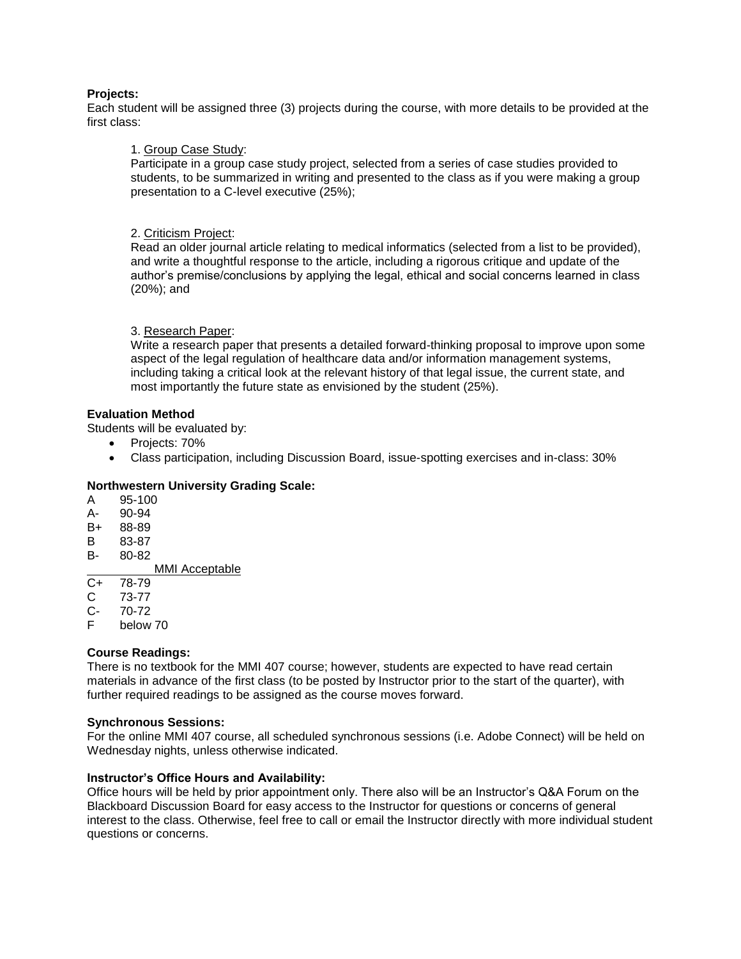# **Projects:**

Each student will be assigned three (3) projects during the course, with more details to be provided at the first class:

# 1. Group Case Study:

Participate in a group case study project, selected from a series of case studies provided to students, to be summarized in writing and presented to the class as if you were making a group presentation to a C-level executive (25%);

# 2. Criticism Project:

Read an older journal article relating to medical informatics (selected from a list to be provided), and write a thoughtful response to the article, including a rigorous critique and update of the author's premise/conclusions by applying the legal, ethical and social concerns learned in class (20%); and

# 3. Research Paper:

Write a research paper that presents a detailed forward-thinking proposal to improve upon some aspect of the legal regulation of healthcare data and/or information management systems, including taking a critical look at the relevant history of that legal issue, the current state, and most importantly the future state as envisioned by the student (25%).

# **Evaluation Method**

Students will be evaluated by:

- Projects: 70%
- Class participation, including Discussion Board, issue-spotting exercises and in-class: 30%

# **Northwestern University Grading Scale:**

- A 95-100
- A- 90-94
- B+ 88-89
- B 83-87
- B- 80-82

MMI Acceptable<br>C+ 78-79

- 78-79
- C 73-77
- C- 70-72
- F below 70

## **Course Readings:**

There is no textbook for the MMI 407 course; however, students are expected to have read certain materials in advance of the first class (to be posted by Instructor prior to the start of the quarter), with further required readings to be assigned as the course moves forward.

## **Synchronous Sessions:**

For the online MMI 407 course, all scheduled synchronous sessions (i.e. Adobe Connect) will be held on Wednesday nights, unless otherwise indicated.

## **Instructor's Office Hours and Availability:**

Office hours will be held by prior appointment only. There also will be an Instructor's Q&A Forum on the Blackboard Discussion Board for easy access to the Instructor for questions or concerns of general interest to the class. Otherwise, feel free to call or email the Instructor directly with more individual student questions or concerns.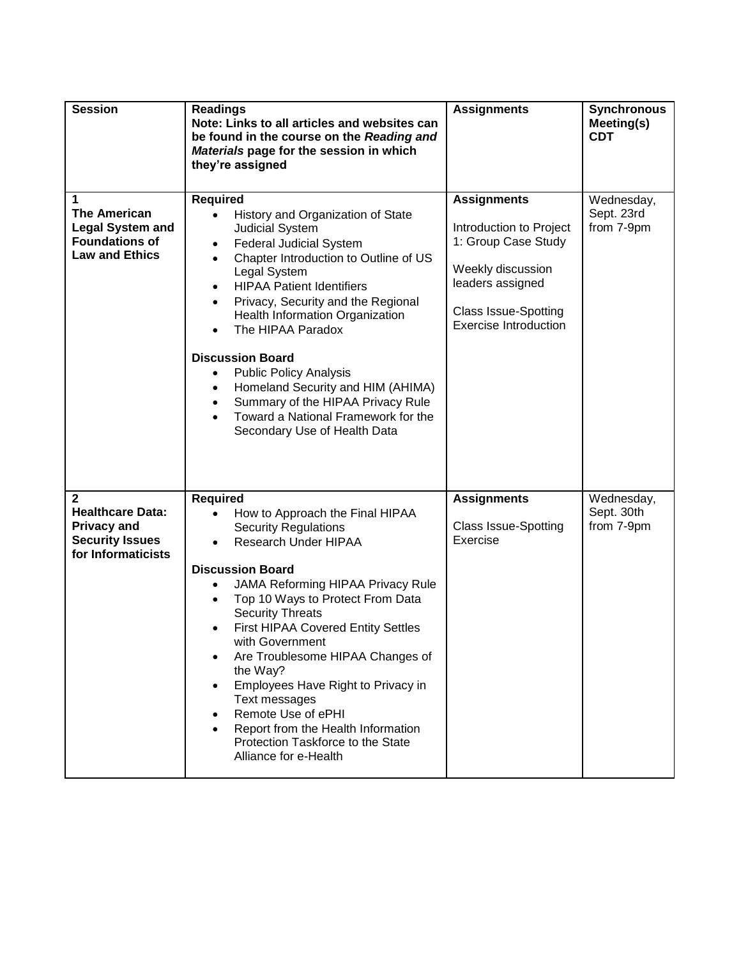| <b>Session</b>                                                                                                | <b>Readings</b><br>Note: Links to all articles and websites can<br>be found in the course on the Reading and<br>Materials page for the session in which<br>they're assigned                                                                                                                                                                                                                                                                                                                                                                                                  | <b>Assignments</b>                                                                                                                                                           | <b>Synchronous</b><br>Meeting(s)<br><b>CDT</b> |
|---------------------------------------------------------------------------------------------------------------|------------------------------------------------------------------------------------------------------------------------------------------------------------------------------------------------------------------------------------------------------------------------------------------------------------------------------------------------------------------------------------------------------------------------------------------------------------------------------------------------------------------------------------------------------------------------------|------------------------------------------------------------------------------------------------------------------------------------------------------------------------------|------------------------------------------------|
| 1<br><b>The American</b><br><b>Legal System and</b><br><b>Foundations of</b><br><b>Law and Ethics</b>         | <b>Required</b><br>History and Organization of State<br>$\bullet$<br><b>Judicial System</b><br><b>Federal Judicial System</b><br>$\bullet$<br>Chapter Introduction to Outline of US<br>$\bullet$<br>Legal System<br><b>HIPAA Patient Identifiers</b><br>Privacy, Security and the Regional<br>Health Information Organization<br>The HIPAA Paradox<br><b>Discussion Board</b><br><b>Public Policy Analysis</b><br>$\bullet$<br>Homeland Security and HIM (AHIMA)<br>Summary of the HIPAA Privacy Rule<br>Toward a National Framework for the<br>Secondary Use of Health Data | <b>Assignments</b><br>Introduction to Project<br>1: Group Case Study<br>Weekly discussion<br>leaders assigned<br><b>Class Issue-Spotting</b><br><b>Exercise Introduction</b> | Wednesday,<br>Sept. 23rd<br>from 7-9pm         |
| $\mathbf{2}$<br><b>Healthcare Data:</b><br><b>Privacy and</b><br><b>Security Issues</b><br>for Informaticists | <b>Required</b><br>How to Approach the Final HIPAA<br><b>Security Regulations</b><br>Research Under HIPAA<br>$\bullet$<br><b>Discussion Board</b><br>JAMA Reforming HIPAA Privacy Rule<br>Top 10 Ways to Protect From Data<br><b>Security Threats</b><br>First HIPAA Covered Entity Settles<br>with Government<br>Are Troublesome HIPAA Changes of<br>the Way?<br>Employees Have Right to Privacy in<br>Text messages<br>Remote Use of ePHI<br>Report from the Health Information<br>Protection Taskforce to the State<br>Alliance for e-Health                              | <b>Assignments</b><br><b>Class Issue-Spotting</b><br>Exercise                                                                                                                | Wednesday,<br>Sept. 30th<br>from 7-9pm         |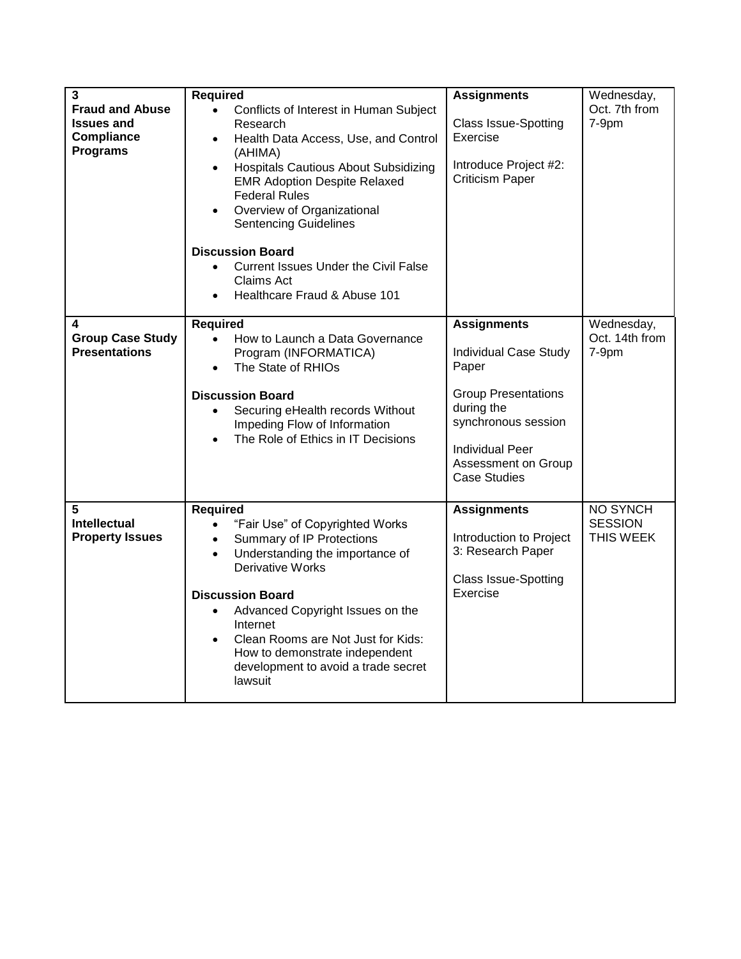| 3<br><b>Fraud and Abuse</b><br><b>Issues and</b><br><b>Compliance</b><br><b>Programs</b> | <b>Required</b><br>$\bullet$<br>Conflicts of Interest in Human Subject<br>Research<br>Health Data Access, Use, and Control<br>$\bullet$<br>(AHIMA)<br>Hospitals Cautious About Subsidizing<br><b>EMR Adoption Despite Relaxed</b><br><b>Federal Rules</b><br>Overview of Organizational<br><b>Sentencing Guidelines</b><br><b>Discussion Board</b>                                        | <b>Assignments</b><br><b>Class Issue-Spotting</b><br>Exercise<br>Introduce Project #2:<br><b>Criticism Paper</b>                                                                                       | Wednesday,<br>Oct. 7th from<br>7-9pm           |
|------------------------------------------------------------------------------------------|-------------------------------------------------------------------------------------------------------------------------------------------------------------------------------------------------------------------------------------------------------------------------------------------------------------------------------------------------------------------------------------------|--------------------------------------------------------------------------------------------------------------------------------------------------------------------------------------------------------|------------------------------------------------|
|                                                                                          | <b>Current Issues Under the Civil False</b><br>$\bullet$<br>Claims Act<br>Healthcare Fraud & Abuse 101                                                                                                                                                                                                                                                                                    |                                                                                                                                                                                                        |                                                |
| 4<br><b>Group Case Study</b><br><b>Presentations</b>                                     | <b>Required</b><br>How to Launch a Data Governance<br>$\bullet$<br>Program (INFORMATICA)<br>The State of RHIOs<br>$\bullet$<br><b>Discussion Board</b><br>Securing eHealth records Without<br>$\bullet$<br>Impeding Flow of Information<br>The Role of Ethics in IT Decisions                                                                                                             | <b>Assignments</b><br><b>Individual Case Study</b><br>Paper<br><b>Group Presentations</b><br>during the<br>synchronous session<br><b>Individual Peer</b><br>Assessment on Group<br><b>Case Studies</b> | Wednesday,<br>Oct. 14th from<br>7-9pm          |
| 5<br><b>Intellectual</b><br><b>Property Issues</b>                                       | <b>Required</b><br>"Fair Use" of Copyrighted Works<br>$\bullet$<br>Summary of IP Protections<br>$\bullet$<br>Understanding the importance of<br><b>Derivative Works</b><br><b>Discussion Board</b><br>Advanced Copyright Issues on the<br>Internet<br>Clean Rooms are Not Just for Kids:<br>$\bullet$<br>How to demonstrate independent<br>development to avoid a trade secret<br>lawsuit | <b>Assignments</b><br>Introduction to Project<br>3: Research Paper<br><b>Class Issue-Spotting</b><br>Exercise                                                                                          | <b>NO SYNCH</b><br><b>SESSION</b><br>THIS WEEK |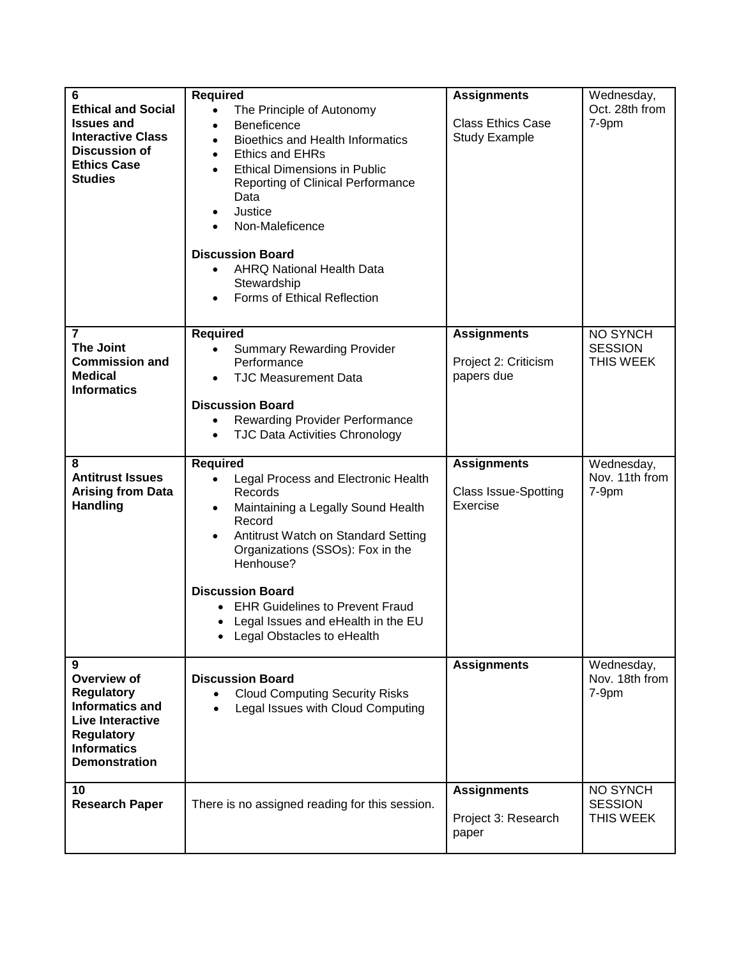| 6<br><b>Ethical and Social</b><br><b>Issues and</b><br><b>Interactive Class</b><br><b>Discussion of</b><br><b>Ethics Case</b><br><b>Studies</b>               | <b>Required</b><br>$\bullet$<br>The Principle of Autonomy<br>Beneficence<br>$\bullet$<br><b>Bioethics and Health Informatics</b><br>$\bullet$<br>Ethics and EHRs<br><b>Ethical Dimensions in Public</b><br>Reporting of Clinical Performance<br>Data<br>Justice<br>$\bullet$<br>Non-Maleficence<br><b>Discussion Board</b><br><b>AHRQ National Health Data</b><br>$\bullet$<br>Stewardship<br>Forms of Ethical Reflection<br>$\bullet$ | <b>Assignments</b><br><b>Class Ethics Case</b><br><b>Study Example</b> | Wednesday,<br>Oct. 28th from<br>$7-9pm$        |
|---------------------------------------------------------------------------------------------------------------------------------------------------------------|----------------------------------------------------------------------------------------------------------------------------------------------------------------------------------------------------------------------------------------------------------------------------------------------------------------------------------------------------------------------------------------------------------------------------------------|------------------------------------------------------------------------|------------------------------------------------|
| 7<br><b>The Joint</b><br><b>Commission and</b><br><b>Medical</b><br><b>Informatics</b>                                                                        | <b>Required</b><br><b>Summary Rewarding Provider</b><br>$\bullet$<br>Performance<br><b>TJC Measurement Data</b><br>$\bullet$<br><b>Discussion Board</b><br><b>Rewarding Provider Performance</b><br>$\bullet$<br><b>TJC Data Activities Chronology</b><br>$\bullet$                                                                                                                                                                    | <b>Assignments</b><br>Project 2: Criticism<br>papers due               | <b>NO SYNCH</b><br><b>SESSION</b><br>THIS WEEK |
| 8<br><b>Antitrust Issues</b><br><b>Arising from Data</b><br><b>Handling</b>                                                                                   | <b>Required</b><br>Legal Process and Electronic Health<br>Records<br>Maintaining a Legally Sound Health<br>$\bullet$<br>Record<br>Antitrust Watch on Standard Setting<br>$\bullet$<br>Organizations (SSOs): Fox in the<br>Henhouse?<br><b>Discussion Board</b><br><b>EHR Guidelines to Prevent Fraud</b><br>• Legal Issues and eHealth in the EU<br>• Legal Obstacles to eHealth                                                       | <b>Assignments</b><br><b>Class Issue-Spotting</b><br>Exercise          | Wednesday,<br>Nov. 11th from<br>7-9pm          |
| 9<br>Overview of<br><b>Regulatory</b><br><b>Informatics and</b><br><b>Live Interactive</b><br><b>Regulatory</b><br><b>Informatics</b><br><b>Demonstration</b> | <b>Discussion Board</b><br><b>Cloud Computing Security Risks</b><br>Legal Issues with Cloud Computing<br>$\bullet$                                                                                                                                                                                                                                                                                                                     | <b>Assignments</b>                                                     | Wednesday,<br>Nov. 18th from<br>7-9pm          |
| 10<br><b>Research Paper</b>                                                                                                                                   | There is no assigned reading for this session.                                                                                                                                                                                                                                                                                                                                                                                         | <b>Assignments</b><br>Project 3: Research<br>paper                     | NO SYNCH<br><b>SESSION</b><br>THIS WEEK        |